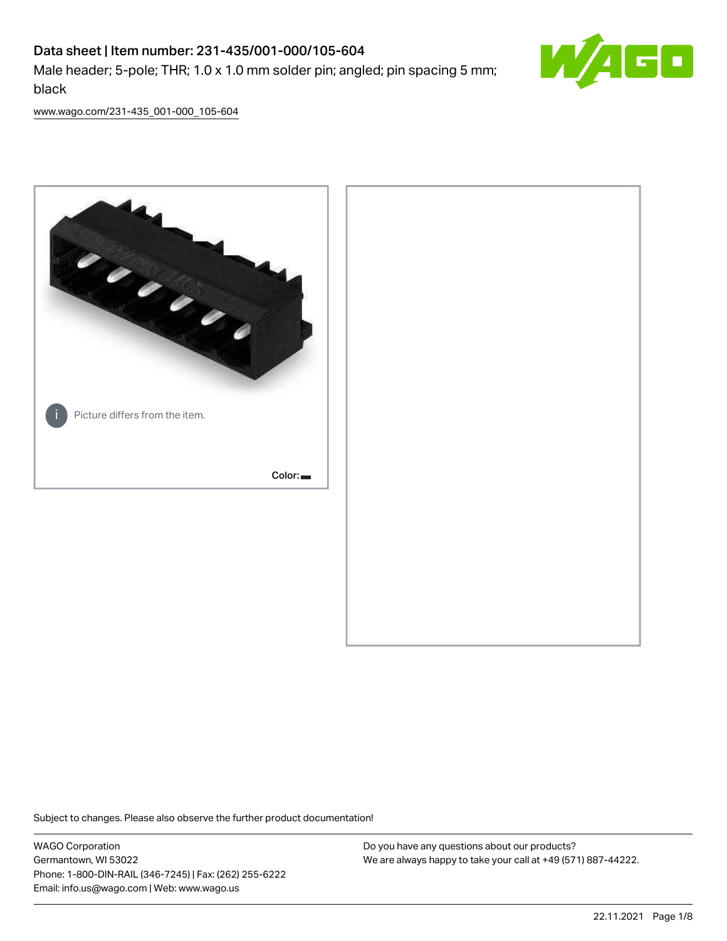# Data sheet | Item number: 231-435/001-000/105-604 Male header; 5-pole; THR; 1.0 x 1.0 mm solder pin; angled; pin spacing 5 mm; black



[www.wago.com/231-435\\_001-000\\_105-604](http://www.wago.com/231-435_001-000_105-604)



Subject to changes. Please also observe the further product documentation!

WAGO Corporation Germantown, WI 53022 Phone: 1-800-DIN-RAIL (346-7245) | Fax: (262) 255-6222 Email: info.us@wago.com | Web: www.wago.us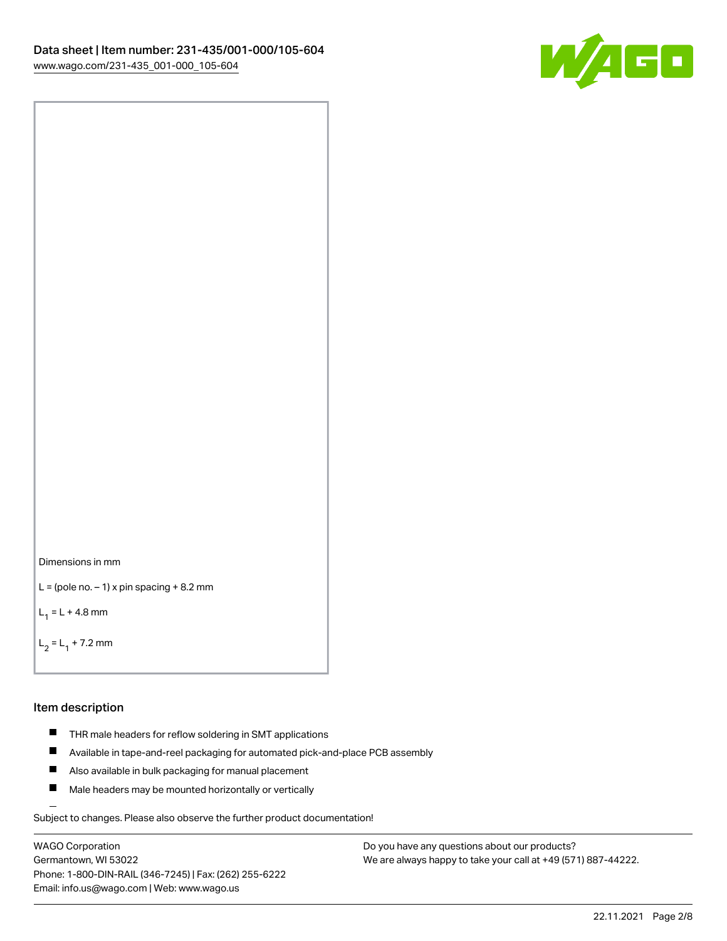

```
Dimensions in mm
```

```
L = (pole no. -1) x pin spacing +8.2 mm
```
 $L_1 = L + 4.8$  mm

```
L_2 = L_1 + 7.2 mm
```
#### Item description

- **THR** male headers for reflow soldering in SMT applications
- $\blacksquare$ Available in tape-and-reel packaging for automated pick-and-place PCB assembly
- $\blacksquare$ Also available in bulk packaging for manual placement
- $\blacksquare$ Male headers may be mounted horizontally or vertically

Subject to changes. Please also observe the further product documentation!

WAGO Corporation Germantown, WI 53022 Phone: 1-800-DIN-RAIL (346-7245) | Fax: (262) 255-6222 Email: info.us@wago.com | Web: www.wago.us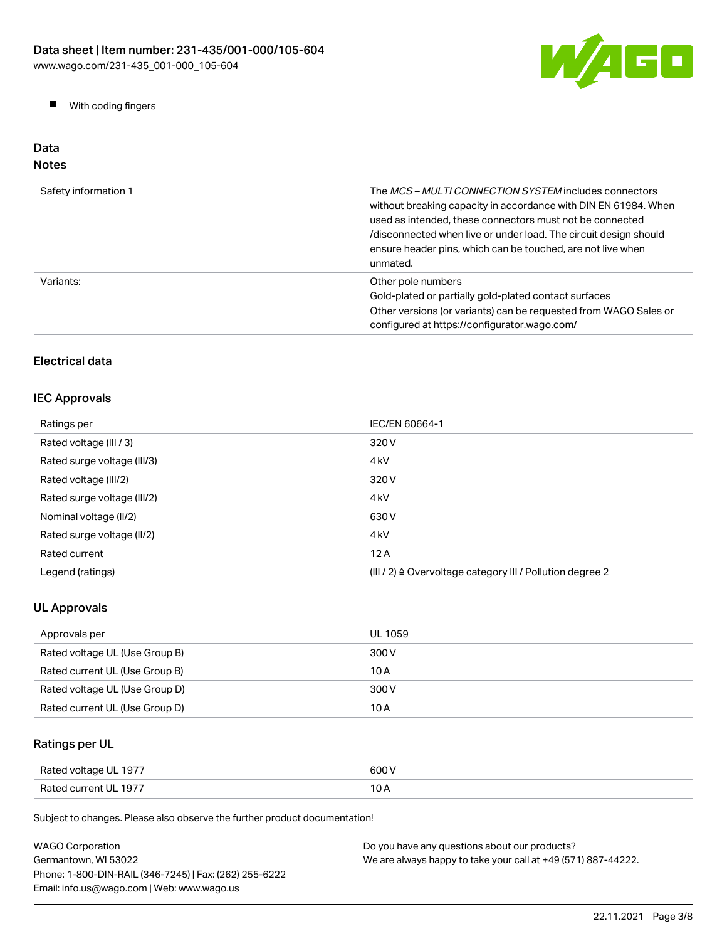

**Now With coding fingers** 

# Data Notes

| Safety information 1 | The <i>MCS - MULTI CONNECTION SYSTEM</i> includes connectors<br>without breaking capacity in accordance with DIN EN 61984. When<br>used as intended, these connectors must not be connected<br>/disconnected when live or under load. The circuit design should<br>ensure header pins, which can be touched, are not live when<br>unmated. |
|----------------------|--------------------------------------------------------------------------------------------------------------------------------------------------------------------------------------------------------------------------------------------------------------------------------------------------------------------------------------------|
| Variants:            | Other pole numbers<br>Gold-plated or partially gold-plated contact surfaces<br>Other versions (or variants) can be requested from WAGO Sales or<br>configured at https://configurator.wago.com/                                                                                                                                            |

# Electrical data

# IEC Approvals

| Ratings per                 | IEC/EN 60664-1                                            |
|-----------------------------|-----------------------------------------------------------|
| Rated voltage (III / 3)     | 320 V                                                     |
| Rated surge voltage (III/3) | 4 <sub>kV</sub>                                           |
| Rated voltage (III/2)       | 320 V                                                     |
| Rated surge voltage (III/2) | 4 <sub>kV</sub>                                           |
| Nominal voltage (II/2)      | 630 V                                                     |
| Rated surge voltage (II/2)  | 4 <sub>k</sub> V                                          |
| Rated current               | 12A                                                       |
| Legend (ratings)            | (III / 2) ≙ Overvoltage category III / Pollution degree 2 |

# UL Approvals

| Approvals per                  | UL 1059 |
|--------------------------------|---------|
| Rated voltage UL (Use Group B) | 300 V   |
| Rated current UL (Use Group B) | 10 A    |
| Rated voltage UL (Use Group D) | 300 V   |
| Rated current UL (Use Group D) | 10 A    |

# Ratings per UL

| Rated voltage UL 1977 | 600 V |
|-----------------------|-------|
| Rated current UL 1977 | 10 A  |

| <b>WAGO Corporation</b>                                | Do you have any questions about our products?                 |
|--------------------------------------------------------|---------------------------------------------------------------|
| Germantown, WI 53022                                   | We are always happy to take your call at +49 (571) 887-44222. |
| Phone: 1-800-DIN-RAIL (346-7245)   Fax: (262) 255-6222 |                                                               |
| Email: info.us@wago.com   Web: www.wago.us             |                                                               |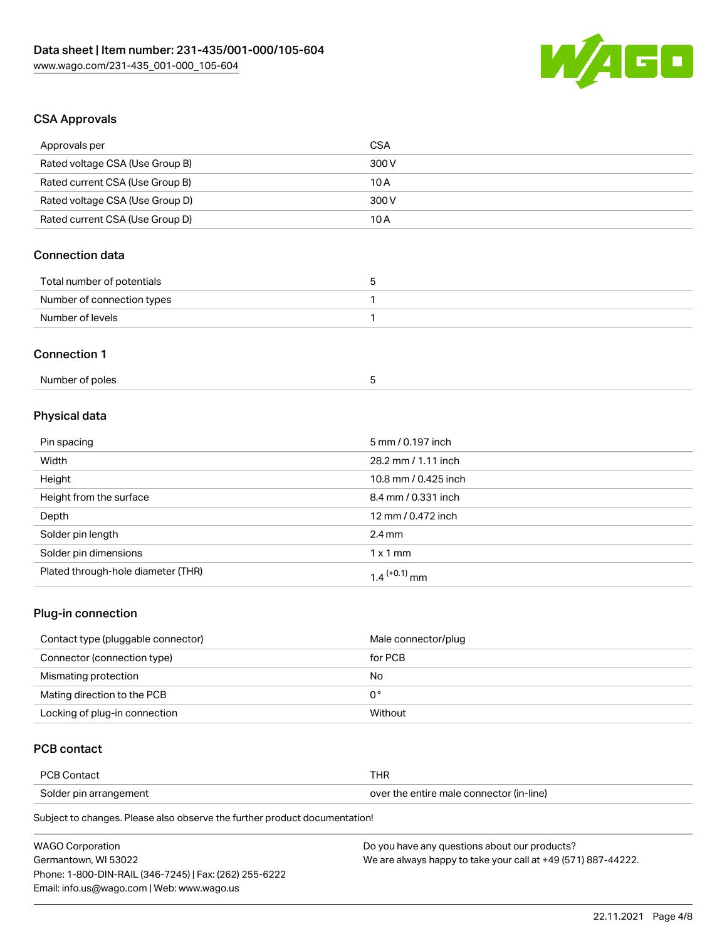

# CSA Approvals

| Approvals per                      | <b>CSA</b>           |
|------------------------------------|----------------------|
| Rated voltage CSA (Use Group B)    | 300V                 |
| Rated current CSA (Use Group B)    | 10A                  |
| Rated voltage CSA (Use Group D)    | 300 V                |
| Rated current CSA (Use Group D)    | 10A                  |
| <b>Connection data</b>             |                      |
| Total number of potentials         | $\mathbf 5$          |
| Number of connection types         | 1                    |
| Number of levels                   | 1                    |
| <b>Connection 1</b>                |                      |
| Number of poles                    | 5                    |
| Physical data                      |                      |
| Pin spacing                        | 5 mm / 0.197 inch    |
| Width                              | 28.2 mm / 1.11 inch  |
| Height                             | 10.8 mm / 0.425 inch |
| Height from the surface            | 8.4 mm / 0.331 inch  |
| Depth                              | 12 mm / 0.472 inch   |
| Solder pin length                  | $2.4$ mm             |
| Solder pin dimensions              | $1 \times 1$ mm      |
| Plated through-hole diameter (THR) | $1.4$ $(+0.1)$ mm    |
|                                    |                      |

#### Plug-in connection

| Contact type (pluggable connector) | Male connector/plug |
|------------------------------------|---------------------|
| Connector (connection type)        | for PCB             |
| Mismating protection               | No                  |
| Mating direction to the PCB        | 0°                  |
| Locking of plug-in connection      | Without             |

# PCB contact

| PCB Contact            | <b>THR</b>                               |
|------------------------|------------------------------------------|
| Solder pin arrangement | over the entire male connector (in-line) |

| <b>WAGO Corporation</b>                                | Do you have any questions about our products?                 |
|--------------------------------------------------------|---------------------------------------------------------------|
| Germantown, WI 53022                                   | We are always happy to take your call at +49 (571) 887-44222. |
| Phone: 1-800-DIN-RAIL (346-7245)   Fax: (262) 255-6222 |                                                               |
| Email: info.us@wago.com   Web: www.wago.us             |                                                               |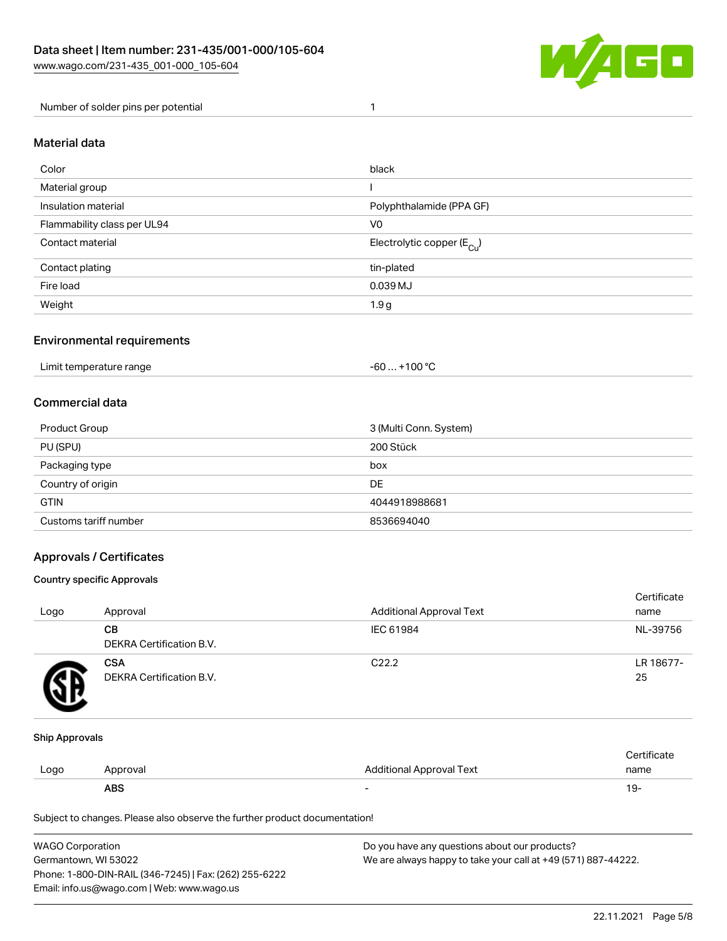

Number of solder pins per potential 1

#### Material data

| Color                       | black                                  |
|-----------------------------|----------------------------------------|
| Material group              |                                        |
| Insulation material         | Polyphthalamide (PPA GF)               |
| Flammability class per UL94 | V <sub>0</sub>                         |
| Contact material            | Electrolytic copper (E <sub>Cu</sub> ) |
| Contact plating             | tin-plated                             |
| Fire load                   | 0.039 MJ                               |
| Weight                      | 1.9 <sub>g</sub>                       |

#### Environmental requirements

Limit temperature range  $-60... +100 °C$ 

#### Commercial data

| Product Group         | 3 (Multi Conn. System) |
|-----------------------|------------------------|
| PU (SPU)              | 200 Stück              |
| Packaging type        | box                    |
| Country of origin     | DE                     |
| <b>GTIN</b>           | 4044918988681          |
| Customs tariff number | 8536694040             |

### Approvals / Certificates

#### Country specific Approvals

| Logo | Approval                               | <b>Additional Approval Text</b> | Certificate<br>name |
|------|----------------------------------------|---------------------------------|---------------------|
|      | CВ<br>DEKRA Certification B.V.         | IEC 61984                       | NL-39756            |
|      | <b>CSA</b><br>DEKRA Certification B.V. | C <sub>22.2</sub>               | LR 18677-<br>25     |

#### Ship Approvals

|      | <b>ABS</b> |                          | ∙ש ו        |
|------|------------|--------------------------|-------------|
| Logo | Approval   | Additional Approval Text | name        |
|      |            |                          | ∵ertificate |

| <b>WAGO Corporation</b>                                | Do you have any questions about our products?                 |
|--------------------------------------------------------|---------------------------------------------------------------|
| Germantown, WI 53022                                   | We are always happy to take your call at +49 (571) 887-44222. |
| Phone: 1-800-DIN-RAIL (346-7245)   Fax: (262) 255-6222 |                                                               |
| Email: info.us@wago.com   Web: www.wago.us             |                                                               |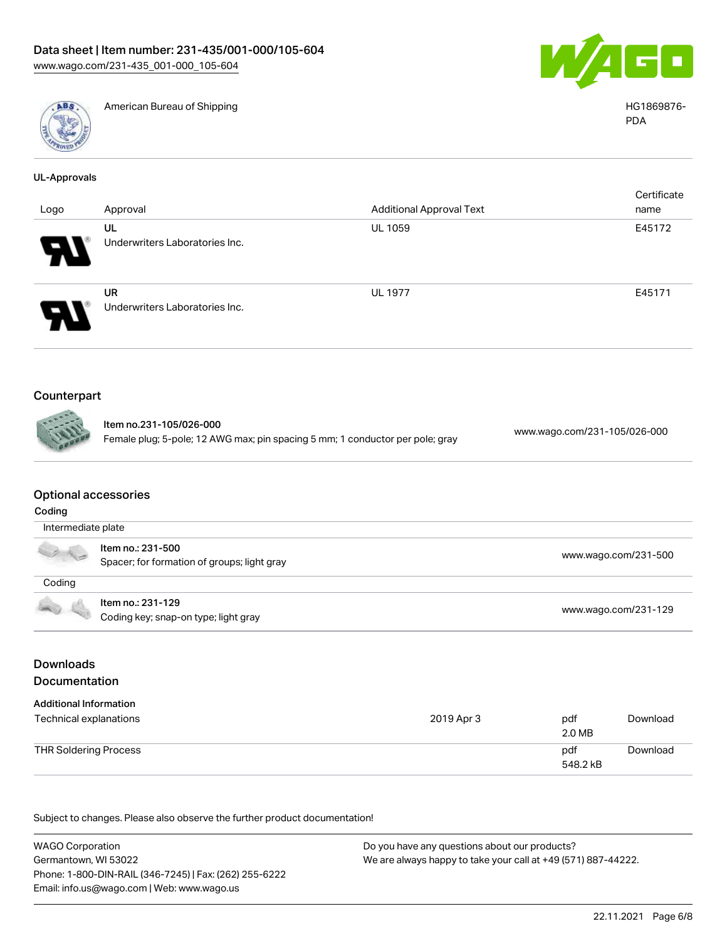



American Bureau of Shipping HG1869876-

|                            |                                |                                 | Certificate |
|----------------------------|--------------------------------|---------------------------------|-------------|
| Logo                       | Approval                       | <b>Additional Approval Text</b> | name        |
|                            | UL                             | <b>UL 1059</b>                  | E45172      |
| - 1                        | Underwriters Laboratories Inc. |                                 |             |
|                            | <b>UR</b>                      | <b>UL 1977</b>                  | E45171      |
| $\boldsymbol{\mathcal{P}}$ | Underwriters Laboratories Inc. |                                 |             |

# Counterpart

| Item no.231-105/026-000                                                       | www.wa |
|-------------------------------------------------------------------------------|--------|
| Female plug; 5-pole; 12 AWG max; pin spacing 5 mm; 1 conductor per pole; gray |        |

go.com/231-105/026-000

### Optional accessories

| Coding                                                                                                                                                                                                                                                                                                                                              |                                                                  |                      |  |
|-----------------------------------------------------------------------------------------------------------------------------------------------------------------------------------------------------------------------------------------------------------------------------------------------------------------------------------------------------|------------------------------------------------------------------|----------------------|--|
| Intermediate plate                                                                                                                                                                                                                                                                                                                                  |                                                                  |                      |  |
| $\begin{picture}(120,15) \put(0,0){\line(1,0){15}} \put(15,0){\line(1,0){15}} \put(15,0){\line(1,0){15}} \put(15,0){\line(1,0){15}} \put(15,0){\line(1,0){15}} \put(15,0){\line(1,0){15}} \put(15,0){\line(1,0){15}} \put(15,0){\line(1,0){15}} \put(15,0){\line(1,0){15}} \put(15,0){\line(1,0){15}} \put(15,0){\line(1,0){15}} \put(15,0){\line($ | ltem no.: 231-500<br>Spacer; for formation of groups; light gray | www.wago.com/231-500 |  |
| Coding                                                                                                                                                                                                                                                                                                                                              |                                                                  |                      |  |
|                                                                                                                                                                                                                                                                                                                                                     | Item no.: 231-129<br>Coding key; snap-on type; light gray        | www.wago.com/231-129 |  |

# Downloads Documentation

| <b>Additional Information</b> |            |                 |          |
|-------------------------------|------------|-----------------|----------|
| Technical explanations        | 2019 Apr 3 | pdf<br>2.0 MB   | Download |
| THR Soldering Process         |            | pdf<br>548.2 kB | Download |

| <b>WAGO Corporation</b>                                | Do you have any questions about our products?                 |  |
|--------------------------------------------------------|---------------------------------------------------------------|--|
| Germantown, WI 53022                                   | We are always happy to take your call at +49 (571) 887-44222. |  |
| Phone: 1-800-DIN-RAIL (346-7245)   Fax: (262) 255-6222 |                                                               |  |
| Email: info.us@wago.com   Web: www.wago.us             |                                                               |  |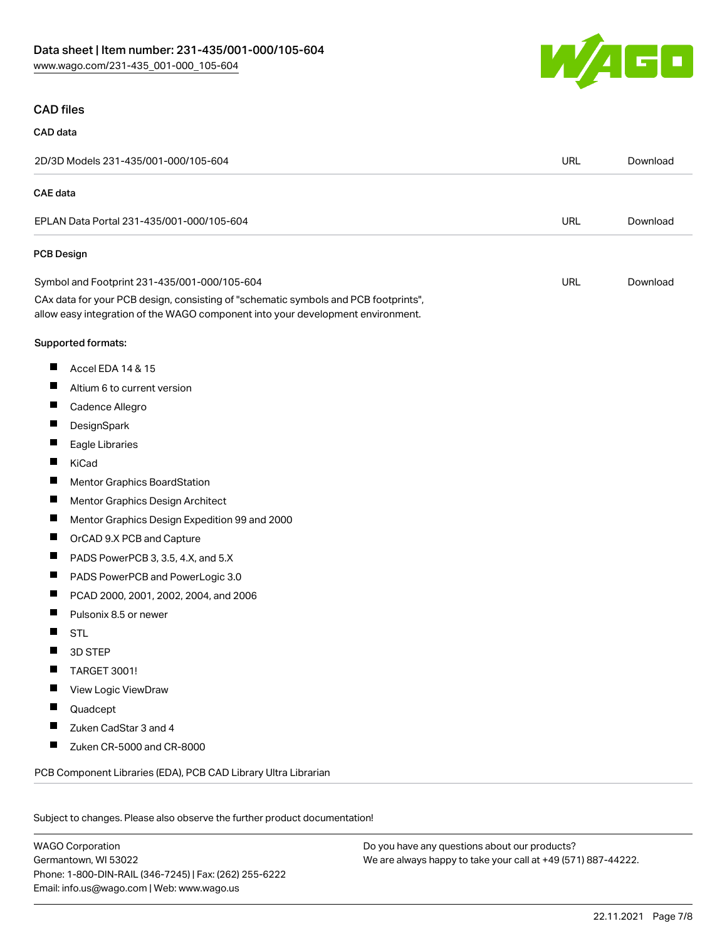

#### CAD files

# CAD data

|                 | 2D/3D Models 231-435/001-000/105-604                                                                                                                                   | <b>URL</b> | Download |
|-----------------|------------------------------------------------------------------------------------------------------------------------------------------------------------------------|------------|----------|
| <b>CAE</b> data |                                                                                                                                                                        |            |          |
|                 | EPLAN Data Portal 231-435/001-000/105-604                                                                                                                              | <b>URL</b> | Download |
| PCB Design      |                                                                                                                                                                        |            |          |
|                 | Symbol and Footprint 231-435/001-000/105-604                                                                                                                           | URL        | Download |
|                 | CAx data for your PCB design, consisting of "schematic symbols and PCB footprints",<br>allow easy integration of the WAGO component into your development environment. |            |          |
|                 | Supported formats:                                                                                                                                                     |            |          |
| ш               | Accel EDA 14 & 15                                                                                                                                                      |            |          |
| ш               | Altium 6 to current version                                                                                                                                            |            |          |
| ш               | Cadence Allegro                                                                                                                                                        |            |          |
| ш               | DesignSpark                                                                                                                                                            |            |          |
| ш               | Eagle Libraries                                                                                                                                                        |            |          |
| ш               | KiCad                                                                                                                                                                  |            |          |
| Ш               | Mentor Graphics BoardStation                                                                                                                                           |            |          |
| ш               | Mentor Graphics Design Architect                                                                                                                                       |            |          |
| ш               | Mentor Graphics Design Expedition 99 and 2000                                                                                                                          |            |          |
| п               | OrCAD 9.X PCB and Capture                                                                                                                                              |            |          |
| ш               | PADS PowerPCB 3, 3.5, 4.X, and 5.X                                                                                                                                     |            |          |
| ш               | PADS PowerPCB and PowerLogic 3.0                                                                                                                                       |            |          |
| ш               | PCAD 2000, 2001, 2002, 2004, and 2006                                                                                                                                  |            |          |
| ш               | Pulsonix 8.5 or newer                                                                                                                                                  |            |          |
| ш               | <b>STL</b>                                                                                                                                                             |            |          |
|                 | 3D STEP                                                                                                                                                                |            |          |
| ш               | <b>TARGET 3001!</b>                                                                                                                                                    |            |          |
| ш               | View Logic ViewDraw                                                                                                                                                    |            |          |
|                 | Quadcept                                                                                                                                                               |            |          |
|                 | Zuken CadStar 3 and 4                                                                                                                                                  |            |          |
| ш               | Zuken CR-5000 and CR-8000                                                                                                                                              |            |          |
|                 | PCB Component Libraries (EDA), PCB CAD Library Ultra Librarian                                                                                                         |            |          |
|                 |                                                                                                                                                                        |            |          |

Subject to changes. Please also observe the further product documentation!

WAGO Corporation Germantown, WI 53022 Phone: 1-800-DIN-RAIL (346-7245) | Fax: (262) 255-6222 Email: info.us@wago.com | Web: www.wago.us